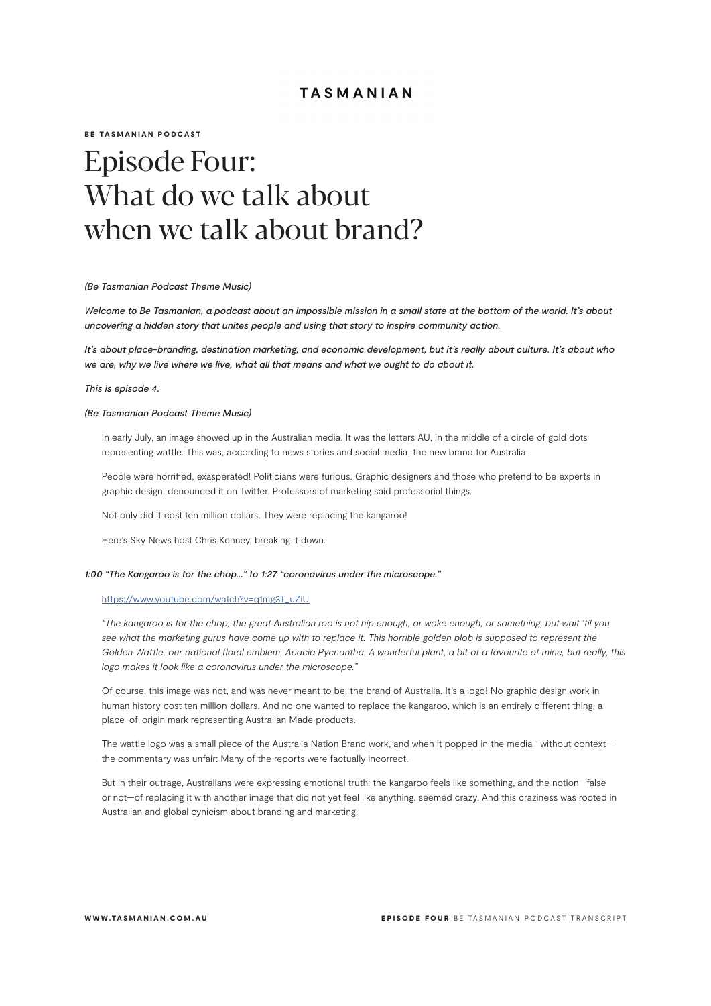BE TASMANIAN PODCAST

# Episode Four: What do we talk about when we talk about brand?

#### *(Be Tasmanian Podcast Theme Music)*

*Welcome to Be Tasmanian, a podcast about an impossible mission in a small state at the bottom of the world. It's about uncovering a hidden story that unites people and using that story to inspire community action.*

*It's about place-branding, destination marketing, and economic development, but it's really about culture. It's about who we are, why we live where we live, what all that means and what we ought to do about it.*

## *This is episode 4.*

## *(Be Tasmanian Podcast Theme Music)*

In early July, an image showed up in the Australian media. It was the letters AU, in the middle of a circle of gold dots representing wattle. This was, according to news stories and social media, the new brand for Australia.

People were horrified, exasperated! Politicians were furious. Graphic designers and those who pretend to be experts in graphic design, denounced it on Twitter. Professors of marketing said professorial things.

Not only did it cost ten million dollars. They were replacing the kangaroo!

Here's Sky News host Chris Kenney, breaking it down.

#### *1:00 "The Kangaroo is for the chop…" to 1:27 "coronavirus under the microscope."*

#### https://www.youtube.com/watch?v=q1mg3T\_uZiU

*"The kangaroo is for the chop, the great Australian roo is not hip enough, or woke enough, or something, but wait 'til you see what the marketing gurus have come up with to replace it. This horrible golden blob is supposed to represent the Golden Wattle, our national floral emblem, Acacia Pycnantha. A wonderful plant, a bit of a favourite of mine, but really, this logo makes it look like a coronavirus under the microscope."*

Of course, this image was not, and was never meant to be, the brand of Australia. It's a logo! No graphic design work in human history cost ten million dollars. And no one wanted to replace the kangaroo, which is an entirely different thing, a place-of-origin mark representing Australian Made products.

The wattle logo was a small piece of the Australia Nation Brand work, and when it popped in the media—without context the commentary was unfair: Many of the reports were factually incorrect.

But in their outrage, Australians were expressing emotional truth: the kangaroo feels like something, and the notion—false or not—of replacing it with another image that did not yet feel like anything, seemed crazy. And this craziness was rooted in Australian and global cynicism about branding and marketing.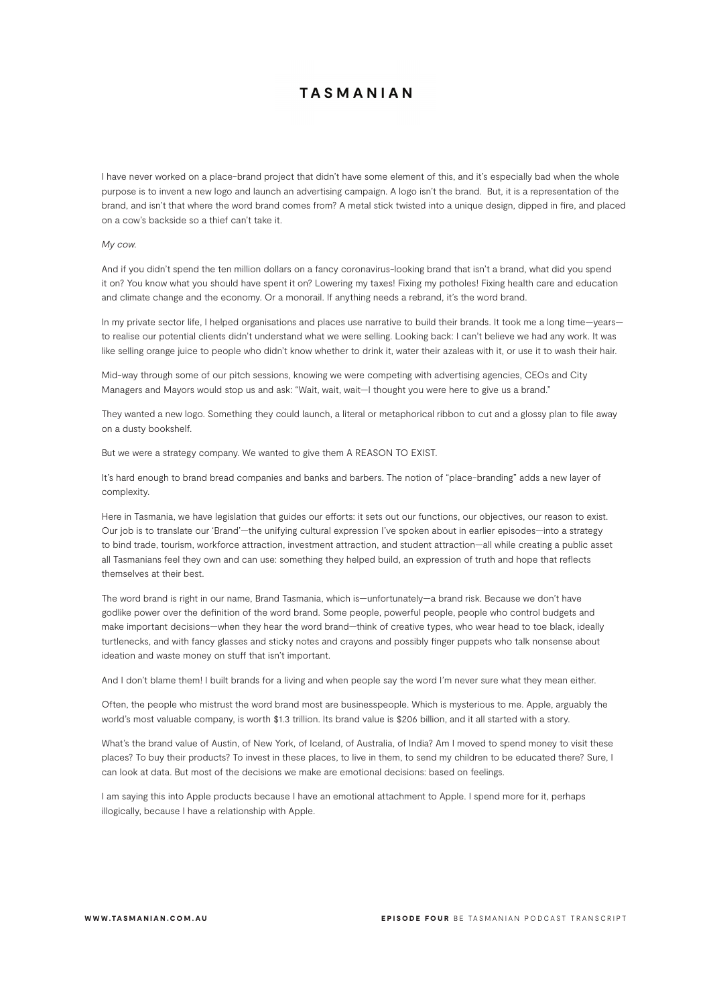I have never worked on a place-brand project that didn't have some element of this, and it's especially bad when the whole purpose is to invent a new logo and launch an advertising campaign. A logo isn't the brand. But, it is a representation of the brand, and isn't that where the word brand comes from? A metal stick twisted into a unique design, dipped in fire, and placed on a cow's backside so a thief can't take it.

## *My cow.*

And if you didn't spend the ten million dollars on a fancy coronavirus-looking brand that isn't a brand, what did you spend it on? You know what you should have spent it on? Lowering my taxes! Fixing my potholes! Fixing health care and education and climate change and the economy. Or a monorail. If anything needs a rebrand, it's the word brand.

In my private sector life, I helped organisations and places use narrative to build their brands. It took me a long time—years to realise our potential clients didn't understand what we were selling. Looking back: I can't believe we had any work. It was like selling orange juice to people who didn't know whether to drink it, water their azaleas with it, or use it to wash their hair.

Mid-way through some of our pitch sessions, knowing we were competing with advertising agencies, CEOs and City Managers and Mayors would stop us and ask: "Wait, wait, wait-I thought you were here to give us a brand."

They wanted a new logo. Something they could launch, a literal or metaphorical ribbon to cut and a glossy plan to file away on a dusty bookshelf.

But we were a strategy company. We wanted to give them A REASON TO EXIST.

It's hard enough to brand bread companies and banks and barbers. The notion of "place-branding" adds a new layer of complexity.

Here in Tasmania, we have legislation that guides our efforts: it sets out our functions, our objectives, our reason to exist. Our job is to translate our 'Brand'—the unifying cultural expression I've spoken about in earlier episodes—into a strategy to bind trade, tourism, workforce attraction, investment attraction, and student attraction—all while creating a public asset all Tasmanians feel they own and can use: something they helped build, an expression of truth and hope that reflects themselves at their best.

The word brand is right in our name, Brand Tasmania, which is—unfortunately—a brand risk. Because we don't have godlike power over the definition of the word brand. Some people, powerful people, people who control budgets and make important decisions—when they hear the word brand—think of creative types, who wear head to toe black, ideally turtlenecks, and with fancy glasses and sticky notes and crayons and possibly finger puppets who talk nonsense about ideation and waste money on stuff that isn't important.

And I don't blame them! I built brands for a living and when people say the word I'm never sure what they mean either.

Often, the people who mistrust the word brand most are businesspeople. Which is mysterious to me. Apple, arguably the world's most valuable company, is worth \$1.3 trillion. Its brand value is \$206 billion, and it all started with a story.

What's the brand value of Austin, of New York, of Iceland, of Australia, of India? Am I moved to spend money to visit these places? To buy their products? To invest in these places, to live in them, to send my children to be educated there? Sure, I can look at data. But most of the decisions we make are emotional decisions: based on feelings.

I am saying this into Apple products because I have an emotional attachment to Apple. I spend more for it, perhaps illogically, because I have a relationship with Apple.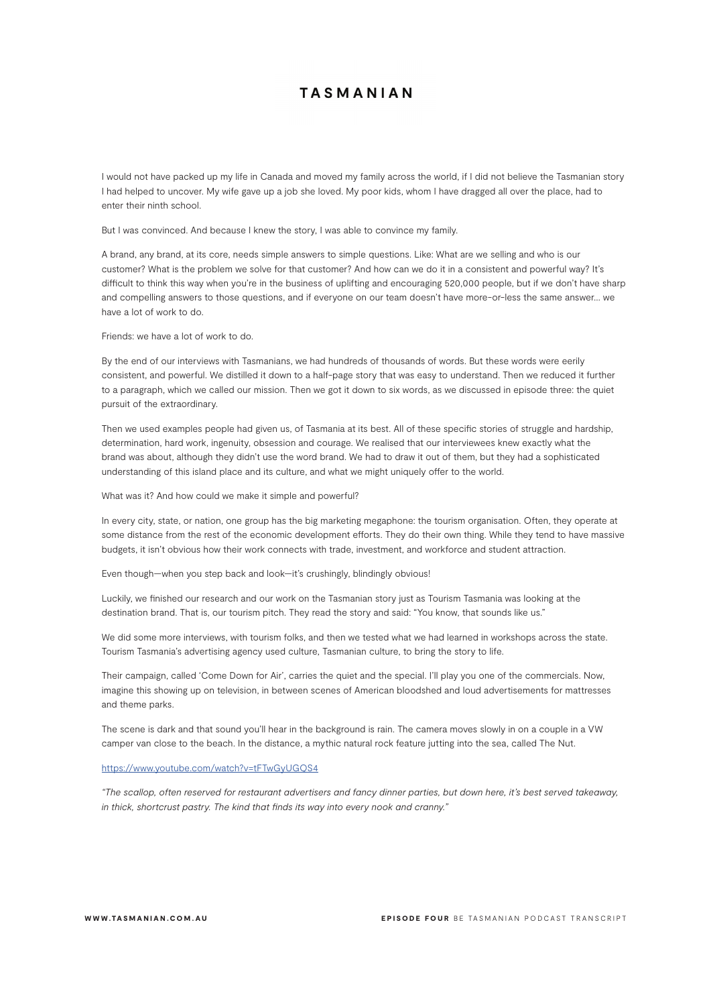I would not have packed up my life in Canada and moved my family across the world, if I did not believe the Tasmanian story I had helped to uncover. My wife gave up a job she loved. My poor kids, whom I have dragged all over the place, had to enter their ninth school.

But I was convinced. And because I knew the story, I was able to convince my family.

A brand, any brand, at its core, needs simple answers to simple questions. Like: What are we selling and who is our customer? What is the problem we solve for that customer? And how can we do it in a consistent and powerful way? It's difficult to think this way when you're in the business of uplifting and encouraging 520,000 people, but if we don't have sharp and compelling answers to those questions, and if everyone on our team doesn't have more-or-less the same answer… we have a lot of work to do.

Friends: we have a lot of work to do.

By the end of our interviews with Tasmanians, we had hundreds of thousands of words. But these words were eerily consistent, and powerful. We distilled it down to a half-page story that was easy to understand. Then we reduced it further to a paragraph, which we called our mission. Then we got it down to six words, as we discussed in episode three: the quiet pursuit of the extraordinary.

Then we used examples people had given us, of Tasmania at its best. All of these specific stories of struggle and hardship, determination, hard work, ingenuity, obsession and courage. We realised that our interviewees knew exactly what the brand was about, although they didn't use the word brand. We had to draw it out of them, but they had a sophisticated understanding of this island place and its culture, and what we might uniquely offer to the world.

What was it? And how could we make it simple and powerful?

In every city, state, or nation, one group has the big marketing megaphone: the tourism organisation. Often, they operate at some distance from the rest of the economic development efforts. They do their own thing. While they tend to have massive budgets, it isn't obvious how their work connects with trade, investment, and workforce and student attraction.

Even though—when you step back and look—it's crushingly, blindingly obvious!

Luckily, we finished our research and our work on the Tasmanian story just as Tourism Tasmania was looking at the destination brand. That is, our tourism pitch. They read the story and said: "You know, that sounds like us."

We did some more interviews, with tourism folks, and then we tested what we had learned in workshops across the state. Tourism Tasmania's advertising agency used culture, Tasmanian culture, to bring the story to life.

Their campaign, called 'Come Down for Air', carries the quiet and the special. I'll play you one of the commercials. Now, imagine this showing up on television, in between scenes of American bloodshed and loud advertisements for mattresses and theme parks.

The scene is dark and that sound you'll hear in the background is rain. The camera moves slowly in on a couple in a VW camper van close to the beach. In the distance, a mythic natural rock feature jutting into the sea, called The Nut.

## https://www.youtube.com/watch?v=tFTwGyUGQS4

*"The scallop, often reserved for restaurant advertisers and fancy dinner parties, but down here, it's best served takeaway, in thick, shortcrust pastry. The kind that finds its way into every nook and cranny."*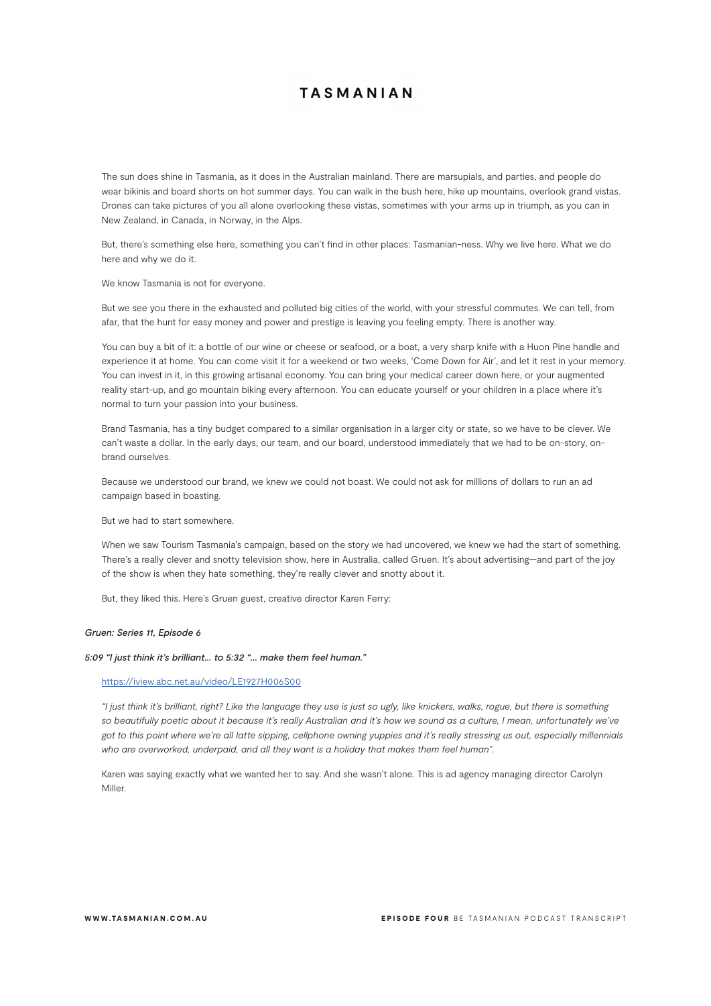The sun does shine in Tasmania, as it does in the Australian mainland. There are marsupials, and parties, and people do wear bikinis and board shorts on hot summer days. You can walk in the bush here, hike up mountains, overlook grand vistas. Drones can take pictures of you all alone overlooking these vistas, sometimes with your arms up in triumph, as you can in New Zealand, in Canada, in Norway, in the Alps.

But, there's something else here, something you can't find in other places: Tasmanian-ness. Why we live here. What we do here and why we do it.

We know Tasmania is not for everyone.

But we see you there in the exhausted and polluted big cities of the world, with your stressful commutes. We can tell, from afar, that the hunt for easy money and power and prestige is leaving you feeling empty. There is another way.

You can buy a bit of it: a bottle of our wine or cheese or seafood, or a boat, a very sharp knife with a Huon Pine handle and experience it at home. You can come visit it for a weekend or two weeks, 'Come Down for Air', and let it rest in your memory. You can invest in it, in this growing artisanal economy. You can bring your medical career down here, or your augmented reality start-up, and go mountain biking every afternoon. You can educate yourself or your children in a place where it's normal to turn your passion into your business.

Brand Tasmania, has a tiny budget compared to a similar organisation in a larger city or state, so we have to be clever. We can't waste a dollar. In the early days, our team, and our board, understood immediately that we had to be on-story, onbrand ourselves.

Because we understood our brand, we knew we could not boast. We could not ask for millions of dollars to run an ad campaign based in boasting.

But we had to start somewhere.

When we saw Tourism Tasmania's campaign, based on the story we had uncovered, we knew we had the start of something. There's a really clever and snotty television show, here in Australia, called Gruen. It's about advertising—and part of the joy of the show is when they hate something, they're really clever and snotty about it.

But, they liked this. Here's Gruen guest, creative director Karen Ferry:

## *Gruen: Series 11, Episode 6*

#### *5:09 "I just think it's brilliant… to 5:32 "… make them feel human."*

#### https://iview.abc.net.au/video/LE1927H006S00

*"I just think it's brilliant, right? Like the language they use is just so ugly, like knickers, walks, rogue, but there is something*  so beautifully poetic about it because it's really Australian and it's how we sound as a culture, I mean, unfortunately we've *got to this point where we're all latte sipping, cellphone owning yuppies and it's really stressing us out, especially millennials who are overworked, underpaid, and all they want is a holiday that makes them feel human".*

Karen was saying exactly what we wanted her to say. And she wasn't alone. This is ad agency managing director Carolyn Miller.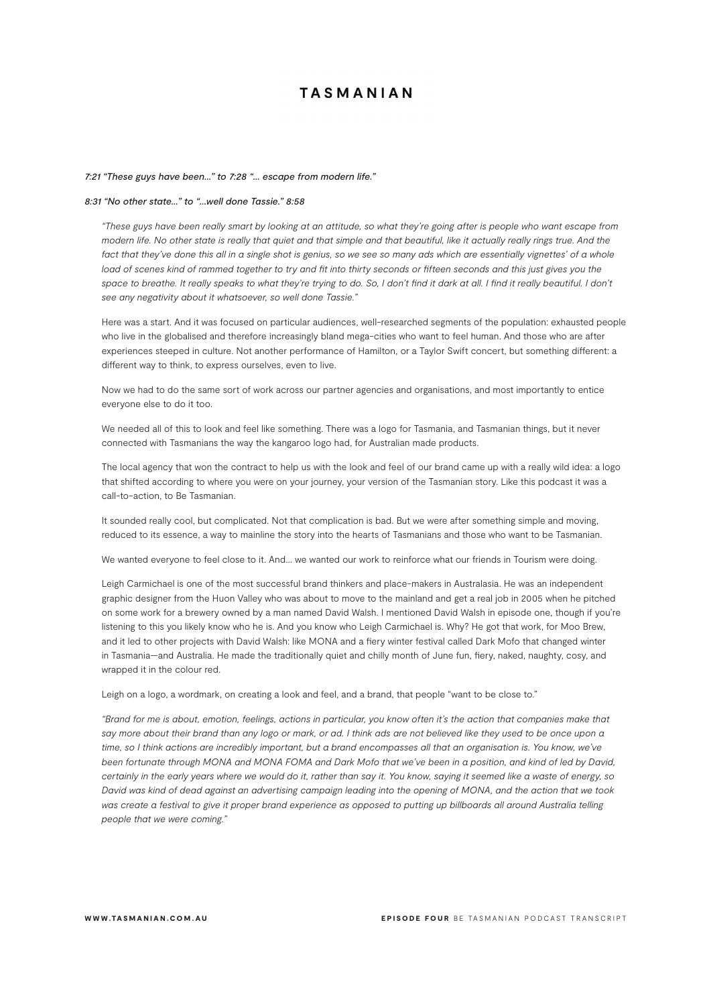## *7:21 "These guys have been…" to 7:28 "… escape from modern life."*

## *8:31 "No other state…" to "…well done Tassie." 8:58*

*"These guys have been really smart by looking at an attitude, so what they're going after is people who want escape from modern life. No other state is really that quiet and that simple and that beautiful, like it actually really rings true. And the*  fact that they've done this all in a single shot is genius, so we see so many ads which are essentially vignettes' of a whole load of scenes kind of rammed together to try and fit into thirty seconds or fifteen seconds and this just gives you the space to breathe. It really speaks to what they're trying to do. So, I don't find it dark at all. I find it really beautiful. I don't *see any negativity about it whatsoever, so well done Tassie."*

Here was a start. And it was focused on particular audiences, well-researched segments of the population: exhausted people who live in the globalised and therefore increasingly bland mega-cities who want to feel human. And those who are after experiences steeped in culture. Not another performance of Hamilton, or a Taylor Swift concert, but something different: a different way to think, to express ourselves, even to live.

Now we had to do the same sort of work across our partner agencies and organisations, and most importantly to entice everyone else to do it too.

We needed all of this to look and feel like something. There was a logo for Tasmania, and Tasmanian things, but it never connected with Tasmanians the way the kangaroo logo had, for Australian made products.

The local agency that won the contract to help us with the look and feel of our brand came up with a really wild idea: a logo that shifted according to where you were on your journey, your version of the Tasmanian story. Like this podcast it was a call-to-action, to Be Tasmanian.

It sounded really cool, but complicated. Not that complication is bad. But we were after something simple and moving, reduced to its essence, a way to mainline the story into the hearts of Tasmanians and those who want to be Tasmanian.

We wanted everyone to feel close to it. And… we wanted our work to reinforce what our friends in Tourism were doing.

Leigh Carmichael is one of the most successful brand thinkers and place-makers in Australasia. He was an independent graphic designer from the Huon Valley who was about to move to the mainland and get a real job in 2005 when he pitched on some work for a brewery owned by a man named David Walsh. I mentioned David Walsh in episode one, though if you're listening to this you likely know who he is. And you know who Leigh Carmichael is. Why? He got that work, for Moo Brew, and it led to other projects with David Walsh: like MONA and a fiery winter festival called Dark Mofo that changed winter in Tasmania—and Australia. He made the traditionally quiet and chilly month of June fun, fiery, naked, naughty, cosy, and wrapped it in the colour red.

Leigh on a logo, a wordmark, on creating a look and feel, and a brand, that people "want to be close to."

*"Brand for me is about, emotion, feelings, actions in particular, you know often it's the action that companies make that*  say more about their brand than any logo or mark, or ad. I think ads are not believed like they used to be once upon a time, so I think actions are incredibly important, but a brand encompasses all that an organisation is. You know, we've been fortunate through MONA and MONA FOMA and Dark Mofo that we've been in a position, and kind of led by David, *certainly in the early years where we would do it, rather than say it. You know, saying it seemed like a waste of energy, so David was kind of dead against an advertising campaign leading into the opening of MONA, and the action that we took was create a festival to give it proper brand experience as opposed to putting up billboards all around Australia telling people that we were coming."*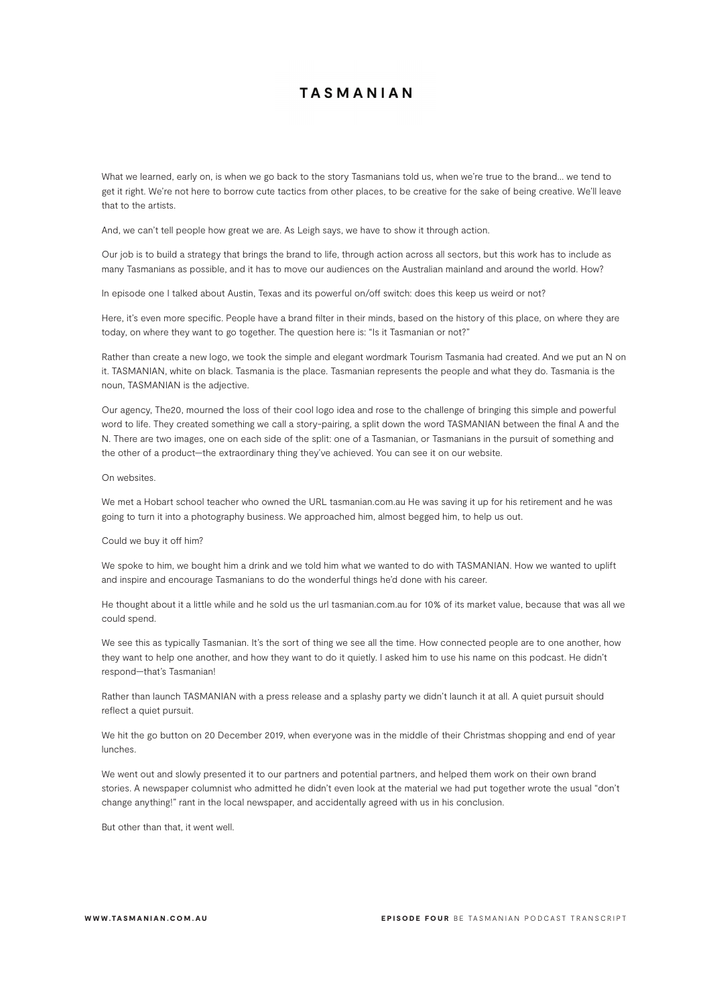What we learned, early on, is when we go back to the story Tasmanians told us, when we're true to the brand... we tend to get it right. We're not here to borrow cute tactics from other places, to be creative for the sake of being creative. We'll leave that to the artists.

And, we can't tell people how great we are. As Leigh says, we have to show it through action.

Our job is to build a strategy that brings the brand to life, through action across all sectors, but this work has to include as many Tasmanians as possible, and it has to move our audiences on the Australian mainland and around the world. How?

In episode one I talked about Austin, Texas and its powerful on/off switch: does this keep us weird or not?

Here, it's even more specific. People have a brand filter in their minds, based on the history of this place, on where they are today, on where they want to go together. The question here is: "Is it Tasmanian or not?"

Rather than create a new logo, we took the simple and elegant wordmark Tourism Tasmania had created. And we put an N on it. TASMANIAN, white on black. Tasmania is the place. Tasmanian represents the people and what they do. Tasmania is the noun, TASMANIAN is the adjective.

Our agency, The20, mourned the loss of their cool logo idea and rose to the challenge of bringing this simple and powerful word to life. They created something we call a story-pairing, a split down the word TASMANIAN between the final A and the N. There are two images, one on each side of the split: one of a Tasmanian, or Tasmanians in the pursuit of something and the other of a product—the extraordinary thing they've achieved. You can see it on our website.

## On websites.

We met a Hobart school teacher who owned the URL tasmanian.com.au He was saving it up for his retirement and he was going to turn it into a photography business. We approached him, almost begged him, to help us out.

#### Could we buy it off him?

We spoke to him, we bought him a drink and we told him what we wanted to do with TASMANIAN. How we wanted to uplift and inspire and encourage Tasmanians to do the wonderful things he'd done with his career.

He thought about it a little while and he sold us the url tasmanian.com.au for 10% of its market value, because that was all we could spend.

We see this as typically Tasmanian. It's the sort of thing we see all the time. How connected people are to one another, how they want to help one another, and how they want to do it quietly. I asked him to use his name on this podcast. He didn't respond—that's Tasmanian!

Rather than launch TASMANIAN with a press release and a splashy party we didn't launch it at all. A quiet pursuit should reflect a quiet pursuit.

We hit the go button on 20 December 2019, when everyone was in the middle of their Christmas shopping and end of year lunches.

We went out and slowly presented it to our partners and potential partners, and helped them work on their own brand stories. A newspaper columnist who admitted he didn't even look at the material we had put together wrote the usual "don't change anything!" rant in the local newspaper, and accidentally agreed with us in his conclusion.

But other than that, it went well.